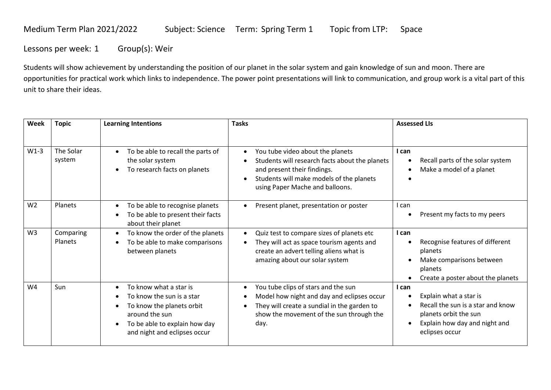## Medium Term Plan 2021/2022 Subject: Science Term: Spring Term 1 Topic from LTP: Space

Lessons per week: 1 Group(s): Weir

Students will show achievement by understanding the position of our planet in the solar system and gain knowledge of sun and moon. There are opportunities for practical work which links to independence. The power point presentations will link to communication, and group work is a vital part of this unit to share their ideas.

| Week           | <b>Topic</b>         | <b>Learning Intentions</b>                                                                                                                                                       | <b>Tasks</b>                                                                                                                                                                                                  | <b>Assessed LIs</b>                                                                                                                              |
|----------------|----------------------|----------------------------------------------------------------------------------------------------------------------------------------------------------------------------------|---------------------------------------------------------------------------------------------------------------------------------------------------------------------------------------------------------------|--------------------------------------------------------------------------------------------------------------------------------------------------|
|                |                      |                                                                                                                                                                                  |                                                                                                                                                                                                               |                                                                                                                                                  |
| $W1-3$         | The Solar<br>system  | To be able to recall the parts of<br>the solar system<br>To research facts on planets                                                                                            | You tube video about the planets<br>$\bullet$<br>Students will research facts about the planets<br>and present their findings.<br>Students will make models of the planets<br>using Paper Mache and balloons. | I can<br>Recall parts of the solar system<br>Make a model of a planet<br>$\bullet$                                                               |
| W <sub>2</sub> | Planets              | To be able to recognise planets<br>To be able to present their facts<br>about their planet                                                                                       | Present planet, presentation or poster<br>$\bullet$                                                                                                                                                           | I can<br>Present my facts to my peers                                                                                                            |
| W <sub>3</sub> | Comparing<br>Planets | To know the order of the planets<br>To be able to make comparisons<br>between planets                                                                                            | Quiz test to compare sizes of planets etc<br>They will act as space tourism agents and<br>create an advert telling aliens what is<br>amazing about our solar system                                           | I can<br>Recognise features of different<br>planets<br>Make comparisons between<br>planets<br>Create a poster about the planets                  |
| W4             | Sun                  | To know what a star is<br>To know the sun is a star<br>To know the planets orbit<br>around the sun<br>To be able to explain how day<br>$\bullet$<br>and night and eclipses occur | You tube clips of stars and the sun<br>$\bullet$<br>Model how night and day and eclipses occur<br>They will create a sundial in the garden to<br>show the movement of the sun through the<br>day.             | I can<br>Explain what a star is<br>Recall the sun is a star and know<br>planets orbit the sun<br>Explain how day and night and<br>eclipses occur |